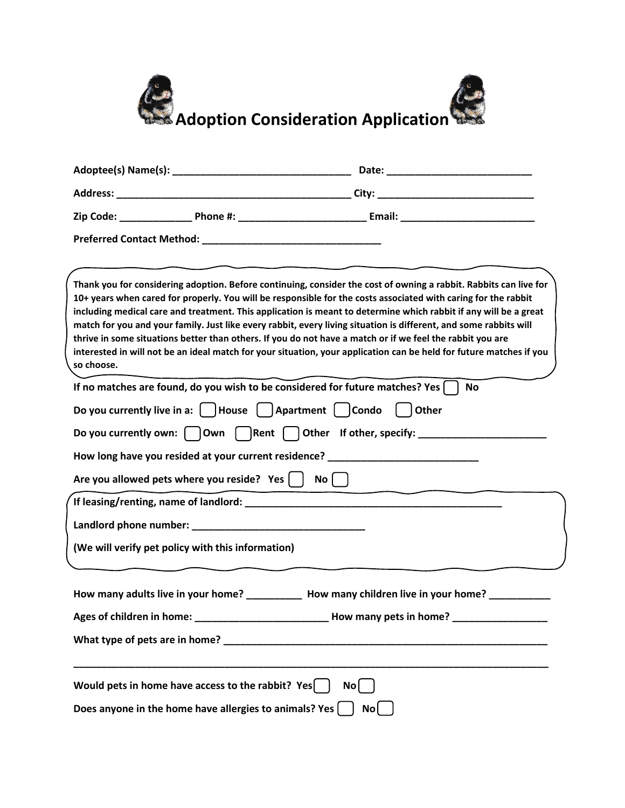

|                           |                                                                                                                                                                                               | Thank you for considering adoption. Before continuing, consider the cost of owning a rabbit. Rabbits can live for<br>10+ years when cared for properly. You will be responsible for the costs associated with caring for the rabbit<br>including medical care and treatment. This application is meant to determine which rabbit if any will be a great<br>match for you and your family. Just like every rabbit, every living situation is different, and some rabbits will<br>thrive in some situations better than others. If you do not have a match or if we feel the rabbit you are<br>interested in will not be an ideal match for your situation, your application can be held for future matches if you |  |
|---------------------------|-----------------------------------------------------------------------------------------------------------------------------------------------------------------------------------------------|------------------------------------------------------------------------------------------------------------------------------------------------------------------------------------------------------------------------------------------------------------------------------------------------------------------------------------------------------------------------------------------------------------------------------------------------------------------------------------------------------------------------------------------------------------------------------------------------------------------------------------------------------------------------------------------------------------------|--|
| so choose.                |                                                                                                                                                                                               | If no matches are found, do you wish to be considered for future matches? Yes $\lceil$<br><b>No</b>                                                                                                                                                                                                                                                                                                                                                                                                                                                                                                                                                                                                              |  |
|                           | Do you currently live in a: $\begin{array}{ c c c c c c } \hline \end{array}$ Apartment $\begin{array}{ c c c c c c c c c } \hline \end{array}$<br>Are you allowed pets where you reside? Yes | $\vert$   Other<br>Do you currently own: $\bigcap$ Own $\bigcap$ Rent $\bigcap$ Other If other, specify:<br>How long have you resided at your current residence? ___________________________<br>No <sub>1</sub>                                                                                                                                                                                                                                                                                                                                                                                                                                                                                                  |  |
|                           | (We will verify pet policy with this information)                                                                                                                                             |                                                                                                                                                                                                                                                                                                                                                                                                                                                                                                                                                                                                                                                                                                                  |  |
| Ages of children in home: | What type of pets are in home? ________                                                                                                                                                       | How many adults live in your home? ____________ How many children live in your home? _<br>How many pets in home?                                                                                                                                                                                                                                                                                                                                                                                                                                                                                                                                                                                                 |  |
|                           | Would pets in home have access to the rabbit? Yes<br>Does anyone in the home have allergies to animals? Yes $\vert$                                                                           | No<br>No                                                                                                                                                                                                                                                                                                                                                                                                                                                                                                                                                                                                                                                                                                         |  |